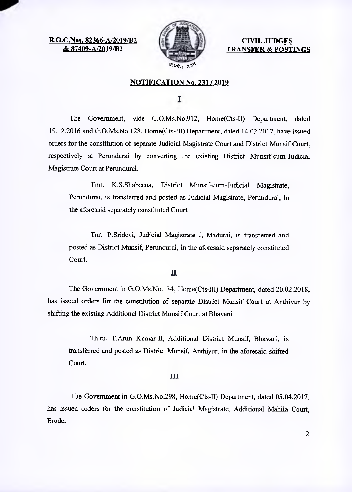**R.O.C.Nos. 82366-A/2019/B2 & 87409-A/2019/B2** 



**CIVIL JUDGES TRANSFER & POSTINGS** 

### **NOTIFICATION No. 231 / 2019**

L

The Government, vide G.O.Ms.No.912, Home(Cts-II) Department, dated 19.12.2016 and G.O.Ms.No.128, Home(Cts-III) Department, dated 14.02.2017, have issued orders for the constitution of separate Judicial Magistrate Court and District Munsif Court, respectively at Perundurai by converting the existing District Munsif-cum-Judicial Magistrate Court at Perundurai.

Tmt. K.S.Shabeena, District Munsif-cum-Judicial Magistrate, Perundurai, is transferred and posted as Judicial Magistrate, Perundurai, in the aforesaid separately constituted Court.

Tmt. P.Sridevi, Judicial Magistrate I, Madurai, is transferred and posted as District Munsif, Perundurai, in the aforesaid separately constituted Court.

#### II

The Government in G.O.Ms.No.134, Home(Cts-III) Department, dated 20.02.2018, has issued orders for the constitution of separate District Munsif Court at Anthiyur by shifting the existing Additional District Munsif Court at Bhavani.

Thiru. T.Arun Kumar-II, Additional District Munsif, Bhavani, is transferred and posted as District Munsif, Anthiyur, in the aforesaid shifted Court.

#### III

The Government in G.O.Ms.No.298, Home(Cts-II) Department, dated 05.04.2017, has issued orders for the constitution of Judicial Magistrate, Additional Mahila Court, Erode.